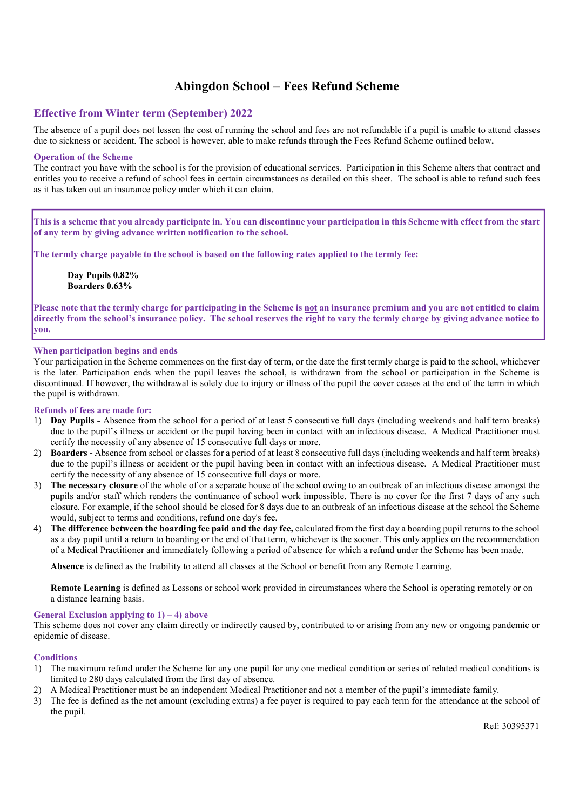# Abingdon School – Fees Refund Scheme

# Effective from Winter term (September) **2022**

The absence of a pupil does not lessen the cost of running the school and fees are not refundable if a pupil is unable to attend classes due to sickness or accident. The school is however, able to make refunds through the Fees Refund Scheme outlined below.

# Operation of the Scheme

The contract you have with the school is for the provision of educational services. Participation in this Scheme alters that contract and entitles you to receive a refund of school fees in certain circumstances as detailed on this sheet. The school is able to refund such fees as it has taken out an insurance policy under which it can claim.

This is a scheme that you already participate in. You can discontinue your participation in this Scheme with effect from the start of any term by giving advance written notification to the school.

The termly charge payable to the school is based on the following rates applied to the termly fee:

Day Pupils **0.82**% Boarders **0**.**63**%

Please note that the termly charge for participating in the Scheme is not an insurance premium and you are not entitled to claim directly from the school's insurance policy. The school reserves the right to vary the termly charge by giving advance notice to you.

# When participation begins and ends

Your participation in the Scheme commences on the first day of term, or the date the first termly charge is paid to the school, whichever is the later. Participation ends when the pupil leaves the school, is withdrawn from the school or participation in the Scheme is discontinued. If however, the withdrawal is solely due to injury or illness of the pupil the cover ceases at the end of the term in which the pupil is withdrawn.

# Refunds of fees are made for:

- 1) Day Pupils Absence from the school for a period of at least 5 consecutive full days (including weekends and half term breaks) due to the pupil's illness or accident or the pupil having been in contact with an infectious disease. A Medical Practitioner must certify the necessity of any absence of 15 consecutive full days or more.
- 2) Boarders Absence from school or classes for a period of at least 8 consecutive full days (including weekends and half term breaks) due to the pupil's illness or accident or the pupil having been in contact with an infectious disease. A Medical Practitioner must certify the necessity of any absence of 15 consecutive full days or more.
- 3) The necessary closure of the whole of or a separate house of the school owing to an outbreak of an infectious disease amongst the pupils and/or staff which renders the continuance of school work impossible. There is no cover for the first 7 days of any such closure. For example, if the school should be closed for 8 days due to an outbreak of an infectious disease at the school the Scheme would, subject to terms and conditions, refund one day's fee.
- 4) The difference between the boarding fee paid and the day fee, calculated from the first day a boarding pupil returns to the school as a day pupil until a return to boarding or the end of that term, whichever is the sooner. This only applies on the recommendation of a Medical Practitioner and immediately following a period of absence for which a refund under the Scheme has been made.

Absence is defined as the Inability to attend all classes at the School or benefit from any Remote Learning.

Remote Learning is defined as Lessons or school work provided in circumstances where the School is operating remotely or on a distance learning basis.

### General Exclusion applying to  $1$ ) – 4) above

This scheme does not cover any claim directly or indirectly caused by, contributed to or arising from any new or ongoing pandemic or epidemic of disease.

# **Conditions**

- 1) The maximum refund under the Scheme for any one pupil for any one medical condition or series of related medical conditions is limited to 280 days calculated from the first day of absence.
- 2) A Medical Practitioner must be an independent Medical Practitioner and not a member of the pupil's immediate family.
- 3) The fee is defined as the net amount (excluding extras) a fee payer is required to pay each term for the attendance at the school of the pupil.